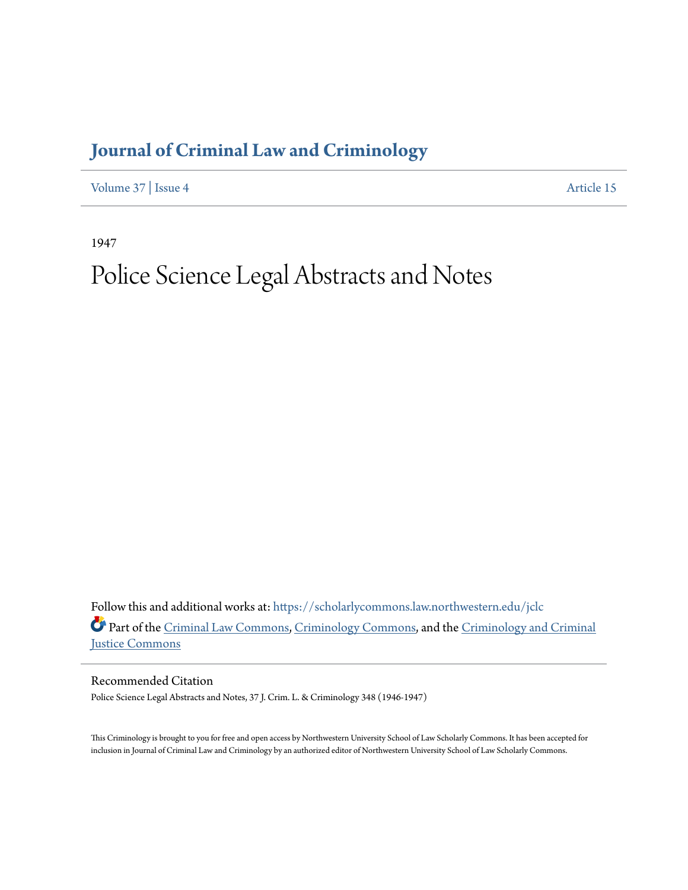## **[Journal of Criminal Law and Criminology](https://scholarlycommons.law.northwestern.edu/jclc?utm_source=scholarlycommons.law.northwestern.edu%2Fjclc%2Fvol37%2Fiss4%2F15&utm_medium=PDF&utm_campaign=PDFCoverPages)**

[Volume 37](https://scholarlycommons.law.northwestern.edu/jclc/vol37?utm_source=scholarlycommons.law.northwestern.edu%2Fjclc%2Fvol37%2Fiss4%2F15&utm_medium=PDF&utm_campaign=PDFCoverPages) | [Issue 4](https://scholarlycommons.law.northwestern.edu/jclc/vol37/iss4?utm_source=scholarlycommons.law.northwestern.edu%2Fjclc%2Fvol37%2Fiss4%2F15&utm_medium=PDF&utm_campaign=PDFCoverPages) [Article 15](https://scholarlycommons.law.northwestern.edu/jclc/vol37/iss4/15?utm_source=scholarlycommons.law.northwestern.edu%2Fjclc%2Fvol37%2Fiss4%2F15&utm_medium=PDF&utm_campaign=PDFCoverPages)

1947

## Police Science Legal Abstracts and Notes

Follow this and additional works at: [https://scholarlycommons.law.northwestern.edu/jclc](https://scholarlycommons.law.northwestern.edu/jclc?utm_source=scholarlycommons.law.northwestern.edu%2Fjclc%2Fvol37%2Fiss4%2F15&utm_medium=PDF&utm_campaign=PDFCoverPages) Part of the [Criminal Law Commons](http://network.bepress.com/hgg/discipline/912?utm_source=scholarlycommons.law.northwestern.edu%2Fjclc%2Fvol37%2Fiss4%2F15&utm_medium=PDF&utm_campaign=PDFCoverPages), [Criminology Commons](http://network.bepress.com/hgg/discipline/417?utm_source=scholarlycommons.law.northwestern.edu%2Fjclc%2Fvol37%2Fiss4%2F15&utm_medium=PDF&utm_campaign=PDFCoverPages), and the [Criminology and Criminal](http://network.bepress.com/hgg/discipline/367?utm_source=scholarlycommons.law.northwestern.edu%2Fjclc%2Fvol37%2Fiss4%2F15&utm_medium=PDF&utm_campaign=PDFCoverPages) [Justice Commons](http://network.bepress.com/hgg/discipline/367?utm_source=scholarlycommons.law.northwestern.edu%2Fjclc%2Fvol37%2Fiss4%2F15&utm_medium=PDF&utm_campaign=PDFCoverPages)

Recommended Citation

Police Science Legal Abstracts and Notes, 37 J. Crim. L. & Criminology 348 (1946-1947)

This Criminology is brought to you for free and open access by Northwestern University School of Law Scholarly Commons. It has been accepted for inclusion in Journal of Criminal Law and Criminology by an authorized editor of Northwestern University School of Law Scholarly Commons.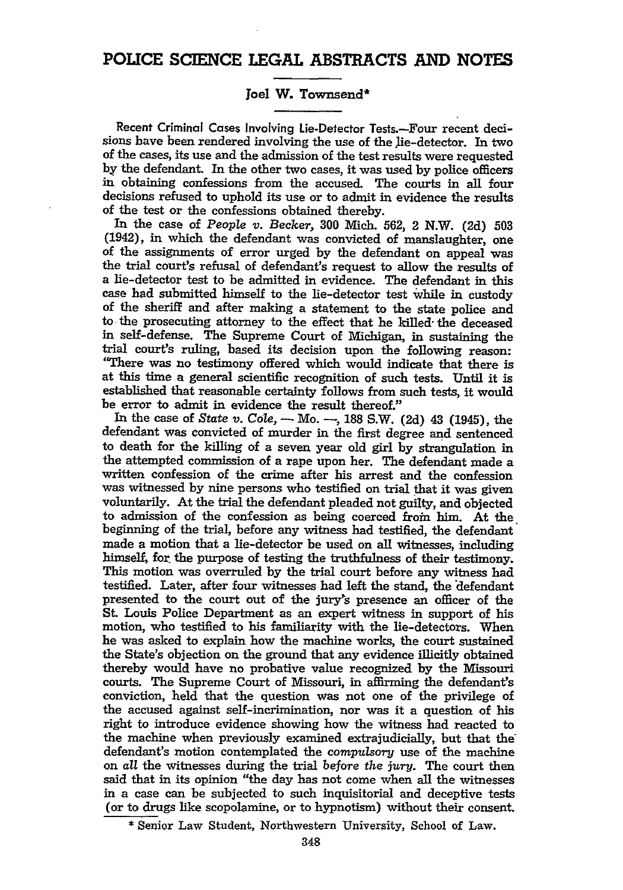## **POLICE SCIENCE LEGAL ABSTRACTS AND NOTES**

## Joel W. Townsend\*

Recent Criminal Cases Involving Lie-Detector Tests.-Four recent decisions have been rendered involving the use **of** the lie-detector. In two of the cases, its use and the admission of the test results were requested by the defendant. In the other two cases, it was used **by** police officers in obtaining confessions from the accused. The courts in all four decisions refused to uphold its use or to admit in evidence the results of the test or the confessions obtained thereby.

In the case of *People* v. Becker, **300** Mich. **562,** 2 N.W. **(2d) 503** (1942), in which the defendant was convicted of manslaughter, one of the assignments of error urged **by** the defendant on appeal was the trial court's refusal of defendant's request to allow the results of a lie-detector test to be admitted in evidence. The defendant in this case had submitted himself to the lie-detector test while in custody of the sheriff and after making a statement to the state police and to the prosecuting attorney to the effect that he killed- the deceased in self-defense. The Supreme Court of Michigan, in sustaining the trial court's ruling, based its decision upon the following reason: "There was no testimony offered which would indicate that there is at this time a general scientific recognition of such tests. Until it is established that reasonable certainty follows from such tests, it would be error to admit in evidence the result thereof."

In the case of State *v. Cole,* - Mo. **-, 188** S.W. **(2d)** 43 (1945), the defendant was convicted of murder in the first degree and sentenced to death for the killing of a seven year old girl **by** strangulation in the attempted commission of a rape upon her. The defendant made a written confession of the crime after his arrest and the confession was witnessed **by** nine persons who testified on trial that it was given voluntarily. At the trial the defendant pleaded not guilty, and objected to admission of the confession as being coerced from him. At the beginning of the trial, before any witness had testified, the defendant made a motion that a lie-detector be used on all witnesses, including himself, for the purpose of testing the truthfulness of their testimony. This motion was overruled **by** the trial court before any witness had testified. Later, after four witnesses had left the stand, the 'defendant presented to the court out of the jury's presence an officer of the St. Louis Police Department as an expert witness in support of his motion, who testified to his familiarity with the lie-detectors. When he was asked to explain how the machine works, the court sustained the State's objection on the ground that any evidence illicitly obtained thereby would have no probative value recognized **by** the Missouri courts. The Supreme Court of Missouri, in affirming the defendant's conviction, held that the question was not one of the privilege of the accused against self-incrimination, nor was it a question of his right to introduce evidence showing how the witness had reacted to the machine when previously examined extrajudicially, but that the' defendant's motion contemplated the compulsory use of the machine on *all* the witnesses during the trial before the jury. The court then said that in its opinion "the day has not come when all the witnesses in a case can be subjected to such inquisitorial and deceptive tests (or to drugs like scopolamine, or to hypnotism) without their consent.

\* Senior Law Student, Northwestern University, School of Law.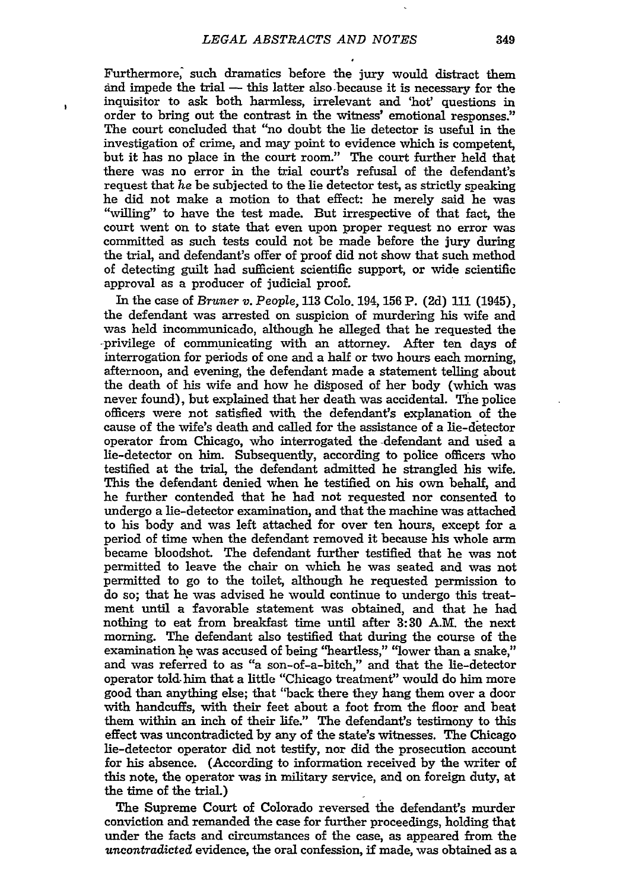$\overline{\phantom{a}}$ 

Furthermore, such dramatics before the jury would distract them and impede the trial - this latter also because it is necessary for the inquisitor to ask both harmless, irrelevant and 'hot' questions in order to bring out the contrast in the witness' emotional responses." The court concluded that "no doubt the lie detector is useful in the investigation of crime, and may point to evidence which is competent, but it has no place in the court room." The court further held that there was no error in the trial court's refusal of the defendant's request that he be subjected to the lie detector test, as strictly speaking he did not make a motion to that effect: he merely said he was "willing" to have the test made. But irrespective of that fact, the court went on to state that even upon proper request no error was committed as such tests could not be made before the jury during the trial, and defendant's offer of proof did not show that such method of detecting guilt had sufficient scientific support, or wide scientific approval as a producer of judicial proof.

In the case of *Bruner v.* People, 113 Colo. 194, 156 P. (2d) **111** (1945), the defendant was arrested on suspicion of murdering his wife and was held incommunicado, although he alleged that he requested the -privilege of communicating with an attorney. After ten days of interrogation for periods of one and a half or two hours each morning, afternoon, and evening, the defendant made a statement telling about the death of his wife and how he disposed of her body (which was never found), but explained that her death was accidental. The police officers were not satisfied with the defendant's explanation of the cause of the wife's death and called for the assistance of a lie-detector operator from Chicago, who interrogated the defendant and used a lie-detector on him. Subsequently, according to police officers who testified at the trial, the defendant admitted he strangled his wife. This the defendant denied when he testified on his own behalf, and he further contended that he had not requested nor consented to undergo a lie-detector examination, and that the machine was attached to his body and was left attached for over ten hours, except for a period of time when the defendant removed it because his whole arm became bloodshot. The defendant further testified that he was not permitted to leave the chair on which he was seated and was not permitted to go to the toilet, although he requested permission to do so; that he was advised he would continue to undergo this treatment until a favorable statement was obtained, and that he had nothing to eat from breakfast time until after **3:30** A.M. the next morning. The defendant also testified that during the course of the examination he was accused of being "heartless," "lower than a snake," and was referred to as "a son-of-a-bitch," and that the lie-detector operator told-him that a little "Chicago treatment" would do him more good than anything else; that "back there they hang them over a door with handcuffs, with their feet about a foot from the floor and beat them within an inch of their life." The defendant's testimony to this effect was uncontradicted by any of the state's witnesses. The Chicago lie-detector operator did not testify, nor did the prosecution account for his absence. (According to information received by the writer of this note, the operator was in military service, and on foreign duty, at the time of the trial.)

The Supreme Court of Colorado reversed the defendant's murder conviction and remanded the case for further proceedings, holding that under the facts and circumstances of the case, as appeared from the uncontradicted evidence, the oral confession, if made, was obtained as a